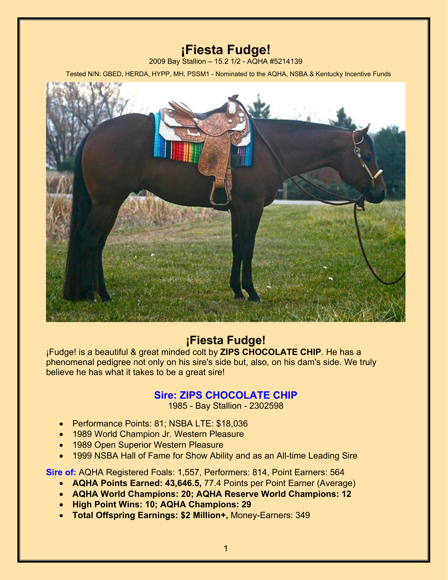# **¡Fiesta Fudge!**

2009 Bay Stallion – 15.2 1/2 - AQHA #5214139

Tested N/N: GBED, HERDA, HYPP, MH, PSSM1 - Nominated to the AQHA, NSBA & Kentucky Incentive Funds



# **¡Fiesta Fudge!**

¡Fudge! is a beautiful & great minded colt by **ZIPS CHOCOLATE CHIP**. He has a phenomenal pedigree not only on his sire's side but, also, on his dam's side. We truly believe he has what it takes to be a great sire!

# **Sire: ZIPS CHOCOLATE CHIP**

1985 - Bay Stallion - 2302598

- Performance Points: 81; NSBA LTE: \$18,036
- 1989 World Champion Jr. Western Pleasure
- 1989 Open Superior Western Pleasure
- 1999 NSBA Hall of Fame for Show Ability and as an All-time Leading Sire

**Sire of:** AQHA Registered Foals: 1,557, Performers: 814, Point Earners: 564

- x **AQHA Points Earned: 43,646.5,** 77.4 Points per Point Earner (Average)
- x **AQHA World Champions: 20; AQHA Reserve World Champions: 12**
- x **High Point Wins: 10; AQHA Champions: 29**
- **Total Offspring Earnings: \$2 Million+, Money-Earners: 349**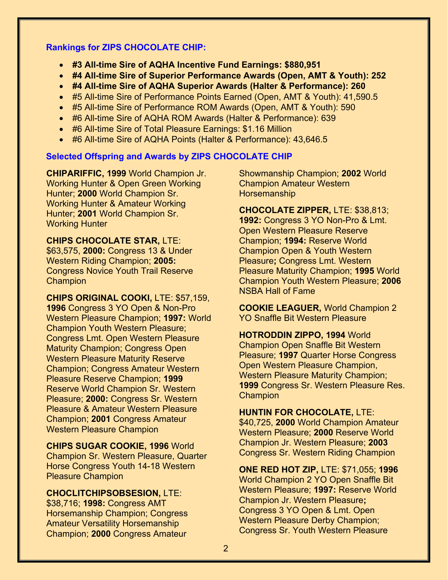## **Rankings for ZIPS CHOCOLATE CHIP:**

- x **#3 All-time Sire of AQHA Incentive Fund Earnings: \$880,951**
- x **#4 All-time Sire of Superior Performance Awards (Open, AMT & Youth): 252**
- x **#4 All-time Sire of AQHA Superior Awards (Halter & Performance): 260**
- #5 All-time Sire of Performance Points Earned (Open, AMT & Youth): 41,590.5
- #5 All-time Sire of Performance ROM Awards (Open, AMT & Youth): 590
- #6 All-time Sire of AQHA ROM Awards (Halter & Performance): 639
- #6 All-time Sire of Total Pleasure Earnings: \$1.16 Million
- #6 All-time Sire of AQHA Points (Halter & Performance): 43,646.5

### **Selected Offspring and Awards by ZIPS CHOCOLATE CHIP**

**CHIPARIFFIC, 1999** World Champion Jr. Working Hunter & Open Green Working Hunter; **2000** World Champion Sr. Working Hunter & Amateur Working Hunter; **2001** World Champion Sr. Working Hunter

**CHIPS CHOCOLATE STAR,** LTE: \$63,575, **2000:** Congress 13 & Under Western Riding Champion; **2005:**  Congress Novice Youth Trail Reserve **Champion** 

**CHIPS ORIGINAL COOKI,** LTE: \$57,159, **1996** Congress 3 YO Open & Non-Pro Western Pleasure Champion; **1997:** World Champion Youth Western Pleasure; Congress Lmt. Open Western Pleasure Maturity Champion; Congress Open Western Pleasure Maturity Reserve Champion; Congress Amateur Western Pleasure Reserve Champion; **1999**  Reserve World Champion Sr. Western Pleasure; **2000:** Congress Sr. Western Pleasure & Amateur Western Pleasure Champion; **2001** Congress Amateur Western Pleasure Champion

**CHIPS SUGAR COOKIE, 1996** World Champion Sr. Western Pleasure, Quarter Horse Congress Youth 14-18 Western Pleasure Champion

# **CHOCLITCHIPSOBSESION,** LTE:

\$38,716; **1998:** Congress AMT Horsemanship Champion; Congress Amateur Versatility Horsemanship Champion; **2000** Congress Amateur

Showmanship Champion; **2002** World Champion Amateur Western **Horsemanship** 

**CHOCOLATE ZIPPER,** LTE: \$38,813; **1992:** Congress 3 YO Non-Pro & Lmt. Open Western Pleasure Reserve Champion; **1994:** Reserve World Champion Open & Youth Western Pleasure**;** Congress Lmt. Western Pleasure Maturity Champion; **1995** World Champion Youth Western Pleasure; **2006**  NSBA Hall of Fame

**COOKIE LEAGUER,** World Champion 2 YO Snaffle Bit Western Pleasure

**HOTRODDIN ZIPPO, 1994** World Champion Open Snaffle Bit Western Pleasure; **1997** Quarter Horse Congress Open Western Pleasure Champion, Western Pleasure Maturity Champion; **1999** Congress Sr. Western Pleasure Res. **Champion** 

**HUNTIN FOR CHOCOLATE,** LTE: \$40,725, **2000** World Champion Amateur Western Pleasure; **2000** Reserve World Champion Jr. Western Pleasure; **2003** Congress Sr. Western Riding Champion

**ONE RED HOT ZIP,** LTE: \$71,055; **1996**  World Champion 2 YO Open Snaffle Bit Western Pleasure; **1997:** Reserve World Champion Jr. Western Pleasure**;**  Congress 3 YO Open & Lmt. Open Western Pleasure Derby Champion; Congress Sr. Youth Western Pleasure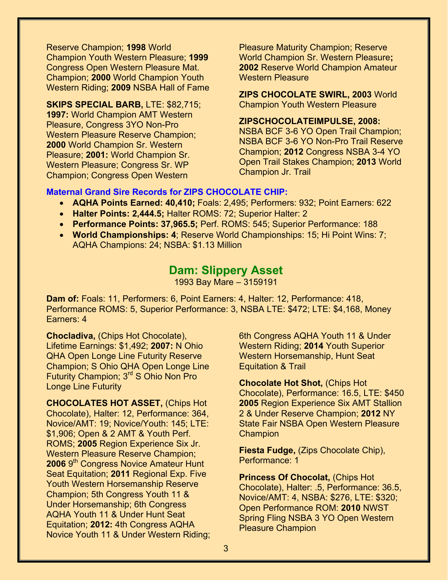Reserve Champion; **1998** World Champion Youth Western Pleasure; **1999**  Congress Open Western Pleasure Mat. Champion; **2000** World Champion Youth Western Riding; **2009** NSBA Hall of Fame

# **SKIPS SPECIAL BARB,** LTE: \$82,715;

**1997:** World Champion AMT Western Pleasure, Congress 3YO Non-Pro Western Pleasure Reserve Champion; **2000** World Champion Sr. Western Pleasure; **2001:** World Champion Sr. Western Pleasure; Congress Sr. WP Champion; Congress Open Western

Pleasure Maturity Champion; Reserve World Champion Sr. Western Pleasure**; 2002** Reserve World Champion Amateur Western Pleasure

**ZIPS CHOCOLATE SWIRL, 2003** World Champion Youth Western Pleasure

## **ZIPSCHOCOLATEIMPULSE, 2008:**

NSBA BCF 3-6 YO Open Trail Champion; NSBA BCF 3-6 YO Non-Pro Trail Reserve Champion; **2012** Congress NSBA 3-4 YO Open Trail Stakes Champion; **2013** World Champion Jr. Trail

## **Maternal Grand Sire Records for ZIPS CHOCOLATE CHIP:**

- x **AQHA Points Earned: 40,410;** Foals: 2,495; Performers: 932; Point Earners: 622
- x **Halter Points: 2,444.5;** Halter ROMS: 72; Superior Halter: 2
- x **Performance Points: 37,965.5;** Perf. ROMS: 545; Superior Performance: 188
- x **World Championships: 4**; Reserve World Championships: 15; Hi Point Wins: 7; AQHA Champions: 24; NSBA: \$1.13 Million

# **Dam: Slippery Asset**

1993 Bay Mare – 3159191

**Dam of:** Foals: 11, Performers: 6, Point Earners: 4, Halter: 12, Performance: 418, Performance ROMS: 5, Superior Performance: 3, NSBA LTE: \$472; LTE: \$4,168, Money Earners: 4

**Chocladiva,** (Chips Hot Chocolate), Lifetime Earnings: \$1,492; **2007:** N Ohio QHA Open Longe Line Futurity Reserve Champion; S Ohio QHA Open Longe Line Futurity Champion; 3rd S Ohio Non Pro Longe Line Futurity

**CHOCOLATES HOT ASSET,** (Chips Hot Chocolate), Halter: 12, Performance: 364, Novice/AMT: 19; Novice/Youth: 145; LTE: \$1,906; Open & 2 AMT & Youth Perf. ROMS; **2005** Region Experience Six Jr. Western Pleasure Reserve Champion; **2006** 9<sup>th</sup> Congress Novice Amateur Hunt Seat Equitation; **2011** Regional Exp. Five Youth Western Horsemanship Reserve Champion; 5th Congress Youth 11 & Under Horsemanship; 6th Congress AQHA Youth 11 & Under Hunt Seat Equitation; **2012:** 4th Congress AQHA Novice Youth 11 & Under Western Riding; 6th Congress AQHA Youth 11 & Under Western Riding; **2014** Youth Superior Western Horsemanship, Hunt Seat Equitation & Trail

**Chocolate Hot Shot,** (Chips Hot Chocolate), Performance: 16.5, LTE: \$450 **2005** Region Experience Six AMT Stallion 2 & Under Reserve Champion; **2012** NY State Fair NSBA Open Western Pleasure **Champion** 

**Fiesta Fudge,** (Zips Chocolate Chip), Performance: 1

**Princess Of Chocolat,** (Chips Hot Chocolate), Halter: .5, Performance: 36.5, Novice/AMT: 4, NSBA: \$276, LTE: \$320; Open Performance ROM: **2010** NWST Spring Fling NSBA 3 YO Open Western Pleasure Champion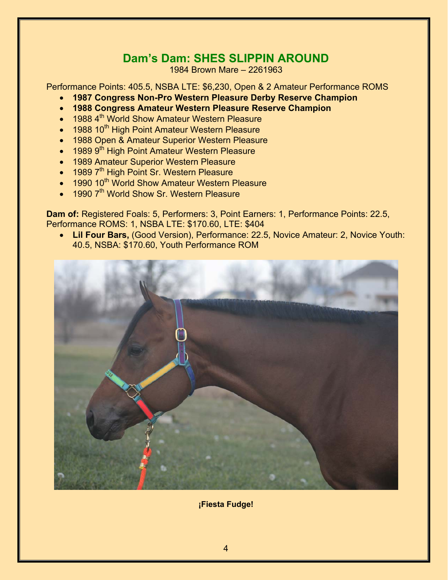# **Dam's Dam: SHES SLIPPIN AROUND**

1984 Brown Mare – 2261963

Performance Points: 405.5, NSBA LTE: \$6,230, Open & 2 Amateur Performance ROMS

- **1987 Congress Non-Pro Western Pleasure Derby Reserve Champion**
- **1988 Congress Amateur Western Pleasure Reserve Champion**
- 1988 4<sup>th</sup> World Show Amateur Western Pleasure
- 1988 10<sup>th</sup> High Point Amateur Western Pleasure
- 1988 Open & Amateur Superior Western Pleasure
- 1989 9<sup>th</sup> High Point Amateur Western Pleasure
- 1989 Amateur Superior Western Pleasure
- 1989 7<sup>th</sup> High Point Sr. Western Pleasure
- 1990 10<sup>th</sup> World Show Amateur Western Pleasure
- $\bullet$  1990 7<sup>th</sup> World Show Sr. Western Pleasure

**Dam of:** Registered Foals: 5, Performers: 3, Point Earners: 1, Performance Points: 22.5, Performance ROMS: 1, NSBA LTE: \$170.60, LTE: \$404

x **Lil Four Bars,** (Good Version), Performance: 22.5, Novice Amateur: 2, Novice Youth: 40.5, NSBA: \$170.60, Youth Performance ROM



**¡Fiesta Fudge!**